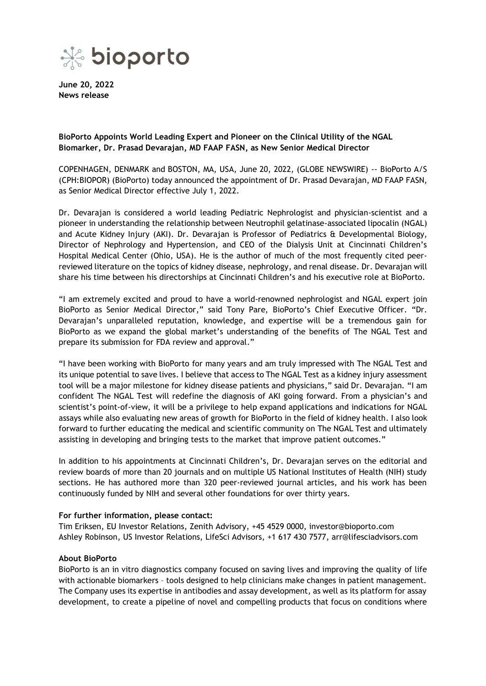

**June 20, 2022 News release**

**BioPorto Appoints World Leading Expert and Pioneer on the Clinical Utility of the NGAL Biomarker, Dr. Prasad Devarajan, MD FAAP FASN, as New Senior Medical Director**

COPENHAGEN, DENMARK and BOSTON, MA, USA, June 20, 2022, (GLOBE NEWSWIRE) -- BioPorto A/S (CPH:BIOPOR) (BioPorto) today announced the appointment of Dr. Prasad Devarajan, MD FAAP FASN, as Senior Medical Director effective July 1, 2022.

Dr. Devarajan is considered a world leading Pediatric Nephrologist and physician-scientist and a pioneer in understanding the relationship between Neutrophil gelatinase-associated lipocalin (NGAL) and Acute Kidney Injury (AKI). Dr. Devarajan is Professor of Pediatrics & Developmental Biology, Director of Nephrology and Hypertension, and CEO of the Dialysis Unit at Cincinnati Children's Hospital Medical Center (Ohio, USA). He is the author of much of the most frequently cited peerreviewed literature on the topics of kidney disease, nephrology, and renal disease. Dr. Devarajan will share his time between his directorships at Cincinnati Children's and his executive role at BioPorto.

"I am extremely excited and proud to have a world-renowned nephrologist and NGAL expert join BioPorto as Senior Medical Director," said Tony Pare, BioPorto's Chief Executive Officer. "Dr. Devarajan's unparalleled reputation, knowledge, and expertise will be a tremendous gain for BioPorto as we expand the global market's understanding of the benefits of The NGAL Test and prepare its submission for FDA review and approval."

"I have been working with BioPorto for many years and am truly impressed with The NGAL Test and its unique potential to save lives. I believe that access to The NGAL Test as a kidney injury assessment tool will be a major milestone for kidney disease patients and physicians," said Dr. Devarajan. "I am confident The NGAL Test will redefine the diagnosis of AKI going forward. From a physician's and scientist's point-of-view, it will be a privilege to help expand applications and indications for NGAL assays while also evaluating new areas of growth for BioPorto in the field of kidney health. I also look forward to further educating the medical and scientific community on The NGAL Test and ultimately assisting in developing and bringing tests to the market that improve patient outcomes."

In addition to his appointments at Cincinnati Children's, Dr. Devarajan serves on the editorial and review boards of more than 20 journals and on multiple US National Institutes of Health (NIH) study sections. He has authored more than 320 peer-reviewed journal articles, and his work has been continuously funded by NIH and several other foundations for over thirty years.

## **For further information, please contact:**

Tim Eriksen, EU Investor Relations, Zenith Advisory, +45 4529 0000, investor@bioporto.com Ashley Robinson, US Investor Relations, LifeSci Advisors, +1 617 430 7577, arr@lifesciadvisors.com

## **About BioPorto**

BioPorto is an in vitro diagnostics company focused on saving lives and improving the quality of life with actionable biomarkers – tools designed to help clinicians make changes in patient management. The Company uses its expertise in antibodies and assay development, as well as its platform for assay development, to create a pipeline of novel and compelling products that focus on conditions where